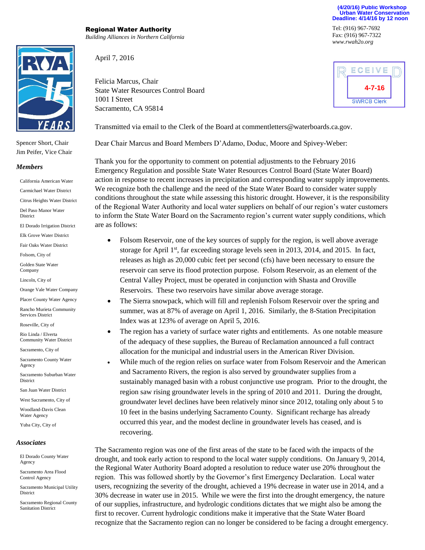

Spencer Short, Chair Jim Peifer, Vice Chair

## *Members*

California American Water Carmichael Water District Citrus Heights Water District

Del Paso Manor Water District

El Dorado Irrigation District

Elk Grove Water District

Fair Oaks Water District

Folsom, City of

Golden State Water Company

Lincoln, City of

Orange Vale Water Company

Placer County Water Agency

Rancho Murieta Community Services District

Roseville, City of

Rio Linda / Elverta Community Water District

Sacramento, City of

Sacramento County Water Agency

Sacramento Suburban Water **District** 

San Juan Water District

West Sacramento, City of

Woodland-Davis Clean Water Agency

Yuba City, City of

## *Associates*

El Dorado County Water Agency

Sacramento Area Flood Control Agency

Sacramento Municipal Utility District

Sacramento Regional County Sanitation District

Regional Water Authority *Building Alliances in Northern California*

April 7, 2016

Felicia Marcus, Chair State Water Resources Control Board 1001 I Street Sacramento, CA 95814

Tel: (916) 967-7692 Fax: (916) 967-7322 *www.rwah2o.org*

**(4/20/16) Public Workshop Urban Water Conservation Deadline: 4/14/16 by 12 noon** 



Transmitted via email to the Clerk of the Board at commentletters@waterboards.ca.gov.

Dear Chair Marcus and Board Members D'Adamo, Doduc, Moore and Spivey-Weber:

Thank you for the opportunity to comment on potential adjustments to the February 2016 Emergency Regulation and possible State Water Resources Control Board (State Water Board) action in response to recent increases in precipitation and corresponding water supply improvements. We recognize both the challenge and the need of the State Water Board to consider water supply conditions throughout the state while assessing this historic drought. However, it is the responsibility of the Regional Water Authority and local water suppliers on behalf of our region's water customers to inform the State Water Board on the Sacramento region's current water supply conditions, which are as follows:

- Folsom Reservoir, one of the key sources of supply for the region, is well above average storage for April 1st, far exceeding storage levels seen in 2013, 2014, and 2015. In fact, releases as high as 20,000 cubic feet per second (cfs) have been necessary to ensure the reservoir can serve its flood protection purpose. Folsom Reservoir, as an element of the Central Valley Project, must be operated in conjunction with Shasta and Oroville Reservoirs. These two reservoirs have similar above average storage.
- The Sierra snowpack, which will fill and replenish Folsom Reservoir over the spring and summer, was at 87% of average on April 1, 2016. Similarly, the 8-Station Precipitation Index was at 123% of average on April 5, 2016.
- The region has a variety of surface water rights and entitlements. As one notable measure of the adequacy of these supplies, the Bureau of Reclamation announced a full contract allocation for the municipal and industrial users in the American River Division.
- While much of the region relies on surface water from Folsom Reservoir and the American and Sacramento Rivers, the region is also served by groundwater supplies from a sustainably managed basin with a robust conjunctive use program. Prior to the drought, the region saw rising groundwater levels in the spring of 2010 and 2011. During the drought, groundwater level declines have been relatively minor since 2012, totaling only about 5 to 10 feet in the basins underlying Sacramento County. Significant recharge has already occurred this year, and the modest decline in groundwater levels has ceased, and is recovering.

The Sacramento region was one of the first areas of the state to be faced with the impacts of the drought, and took early action to respond to the local water supply conditions. On January 9, 2014, the Regional Water Authority Board adopted a resolution to reduce water use 20% throughout the region. This was followed shortly by the Governor's first Emergency Declaration. Local water users, recognizing the severity of the drought, achieved a 19% decrease in water use in 2014, and a 30% decrease in water use in 2015. While we were the first into the drought emergency, the nature of our supplies, infrastructure, and hydrologic conditions dictates that we might also be among the first to recover. Current hydrologic conditions make it imperative that the State Water Board recognize that the Sacramento region can no longer be considered to be facing a drought emergency.